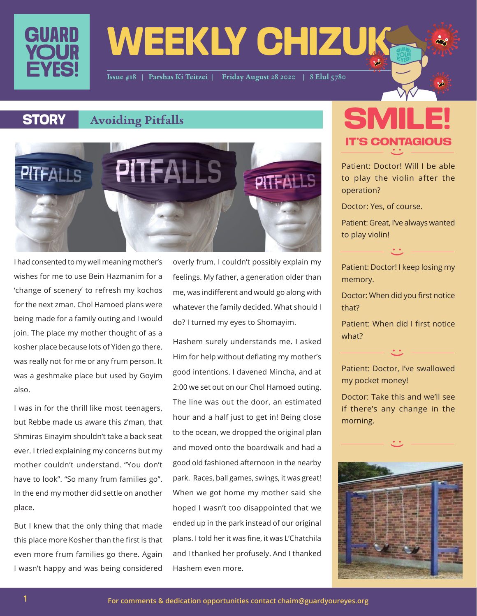

# **WEEKLY CHIZUK**

**Issue #18 | Parshas Ki Teitzei | Friday August 28 2020 | 8 Elul 5780** 

#### **STORY Avoiding Pitfalls**



I had consented to my well meaning mother's wishes for me to use Bein Hazmanim for a 'change of scenery' to refresh my kochos for the next zman. Chol Hamoed plans were being made for a family outing and I would join. The place my mother thought of as a kosher place because lots of Yiden go there, was really not for me or any frum person. It was a geshmake place but used by Goyim .also

I was in for the thrill like most teenagers, but Rebbe made us aware this z'man, that Shmiras Einayim shouldn't take a back seat ever. I tried explaining my concerns but my mother couldn't understand. "You don't have to look". "So many frum families go". In the end my mother did settle on another place.

But I knew that the only thing that made this place more Kosher than the first is that even more frum families go there. Again I wasn't happy and was being considered

overly frum. I couldn't possibly explain my feelings. My father, a generation older than me, was indifferent and would go along with whatever the family decided. What should I do? I turned my eyes to Shomayim.

Hashem surely understands me. I asked Him for help without deflating my mother's good intentions. I davened Mincha, and at 2:00 we set out on our Chol Hamoed outing. The line was out the door, an estimated hour and a half just to get in! Being close to the ocean, we dropped the original plan and moved onto the boardwalk and had a good old fashioned afternoon in the nearby park. Races, ball games, swings, it was great! When we got home my mother said she hoped I wasn't too disappointed that we ended up in the park instead of our original plans. I told her it was fine, it was L'Chatchila and I thanked her profusely. And I thanked Hashem even more.

# **!SMILE CONTAGIOUS**

Patient: Doctor! Will I be able to play the violin after the operation? ∴ or!<br>
or!<br>
or!<br>
or!<br>
or!<br>
or!<br>
or!<br>
did<br>
did<br>
did<br>
∴ or, l<br>
or!<br>
or!<br>
or!<br>
or!

Doctor: Yes, of course.

Patient: Great, I've always wanted to play violin!



Doctor: When did you first notice that?

Patient: When did I first notice what?



Patient: Doctor, I've swallowed my pocket money!

Doctor: Take this and we'll see if there's any change in the .morning

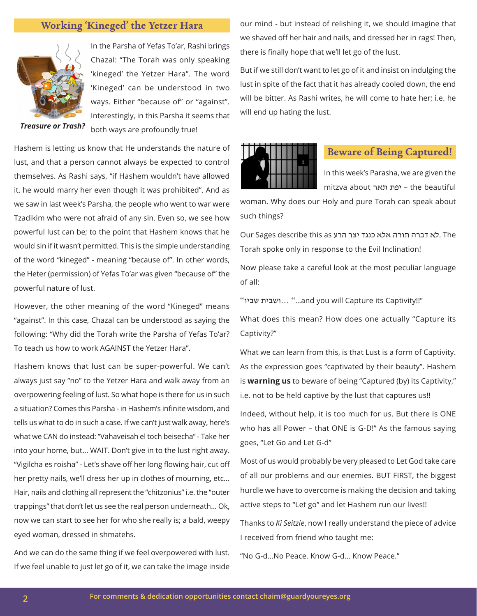## **Working 'Kineged' the Yetzer Hara**



In the Parsha of Yefas To'ar, Rashi brings Chazal: "The Torah was only speaking 'kineged' the Yetzer Hara". The word 'Kineged' can be understood in two ways. Either "because of" or "against". Interestingly, in this Parsha it seems that both ways are profoundly true!

**Treasure or Trash?** 

Hashem is letting us know that He understands the nature of lust, and that a person cannot always be expected to control themselves. As Rashi says, "if Hashem wouldn't have allowed it, he would marry her even though it was prohibited". And as we saw in last week's Parsha, the people who went to war were Tzadikim who were not afraid of any sin. Even so, we see how powerful lust can be; to the point that Hashem knows that he would sin if it wasn't permitted. This is the simple understanding of the word "kineged" - meaning "because of". In other words, the Heter (permission) of Yefas To'ar was given "because of" the powerful nature of lust.

However, the other meaning of the word "Kineged" means "against". In this case, Chazal can be understood as saying the following: "Why did the Torah write the Parsha of Yefas To'ar? To teach us how to work AGAINST the Yetzer Hara".

Hashem knows that lust can be super-powerful. We can't always just say "no" to the Yetzer Hara and walk away from an overpowering feeling of lust. So what hope is there for us in such a situation? Comes this Parsha - in Hashem's infinite wisdom, and tells us what to do in such a case. If we can't just walk away, here's what we CAN do instead: "Vahaveisah el toch beisecha" - Take her into your home, but... WAIT. Don't give in to the lust right away. "Vigilcha es roisha" - Let's shave off her long flowing hair, cut off her pretty nails, we'll dress her up in clothes of mourning, etc... Hair, nails and clothing all represent the "chitzonius" i.e. the "outer trappings" that don't let us see the real person underneath... Ok, now we can start to see her for who she really is; a bald, weepy eyed woman, dressed in shmatehs.

And we can do the same thing if we feel overpowered with lust. If we feel unable to just let go of it, we can take the image inside our mind - but instead of relishing it, we should imagine that we shaved off her hair and nails, and dressed her in rags! Then, there is finally hope that we'll let go of the lust.

But if we still don't want to let go of it and insist on indulging the lust in spite of the fact that it has already cooled down, the end will be bitter. As Rashi writes, he will come to hate her; i.e. he will end up hating the lust.



#### **Beware of Being Captured!**

In this week's Parasha, we are given the beautiful the – יפת תאר about mitzva

woman. Why does our Holy and pure Torah can speak about such things?

Our Sages describe this as לא דברה תורה אלא כנגד יצר הרע. The Torah spoke only in response to the Evil Inclination!

Now please take a careful look at the most peculiar language  $of all:$ 

"!!Captivity its Capture will you and… "…ושבית שביו"

What does this mean? How does one actually "Capture its Captivity?"

What we can learn from this, is that Lust is a form of Captivity. As the expression goes "captivated by their beauty". Hashem is **warning us** to beware of being "Captured (by) its Captivity," i.e. not to be held captive by the lust that captures us!!

Indeed, without help, it is too much for us. But there is ONE who has all Power – that ONE is G-D!" As the famous saying goes, "Let Go and Let G-d"

Most of us would probably be very pleased to Let God take care of all our problems and our enemies. BUT FIRST, the biggest hurdle we have to overcome is making the decision and taking active steps to "Let go" and let Hashem run our lives!!

Thanks to Ki Seitzie, now I really understand the piece of advice I received from friend who taught me:

"No G-d...No Peace. Know G-d... Know Peace."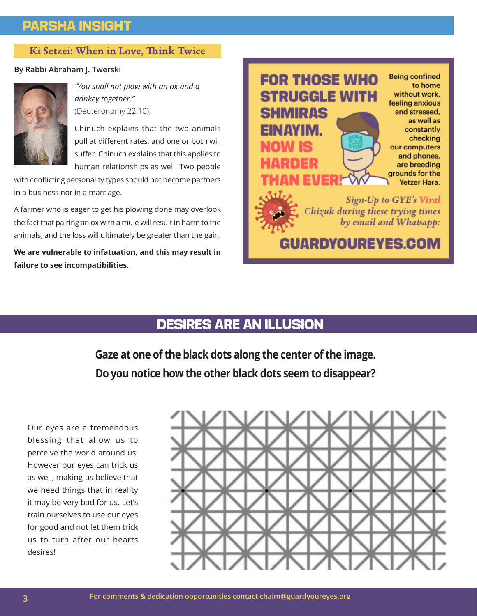## **PARSHA INSIGHT**

### Ki Setzei: When in Love, Think Twice

#### **By Rabbi Abraham J. Twerski**



*"You shall not plow with an ox and a* donkey together." (Deuteronomy 22:10).

Chinuch explains that the two animals pull at different rates, and one or both will suffer. Chinuch explains that this applies to human relationships as well. Two people

with conflicting personality types should not become partners in a business nor in a marriage.

A farmer who is eager to get his plowing done may overlook the fact that pairing an ox with a mule will result in harm to the animals, and the loss will ultimately be greater than the gain.

We are vulnerable to infatuation, and this may result in failure to see incompatibilities.



## **DESIRES ARE AN ILLUSION**

Gaze at one of the black dots along the center of the image. Do you notice how the other black dots seem to disappear?

Our eyes are a tremendous blessing that allow us to perceive the world around us. However our eyes can trick us as well, making us believe that we need things that in reality it may be very bad for us. Let's train ourselves to use our eyes for good and not let them trick us to turn after our hearts desires!